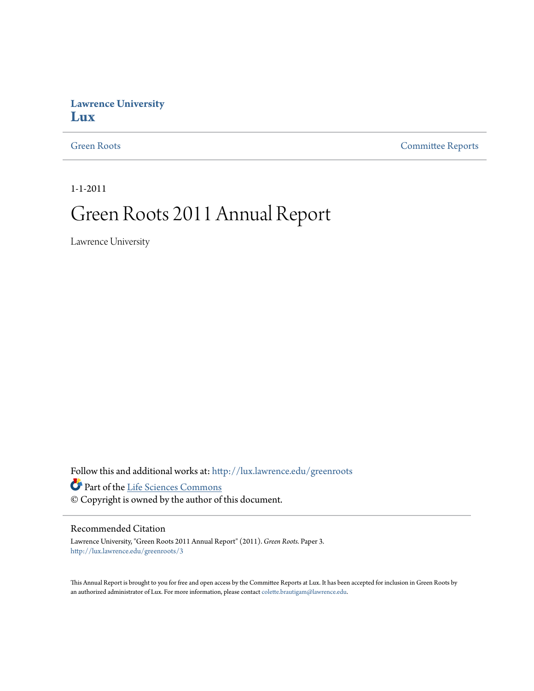## **Lawrence University [Lux](http://lux.lawrence.edu?utm_source=lux.lawrence.edu%2Fgreenroots%2F3&utm_medium=PDF&utm_campaign=PDFCoverPages)**

[Green Roots](http://lux.lawrence.edu/greenroots?utm_source=lux.lawrence.edu%2Fgreenroots%2F3&utm_medium=PDF&utm_campaign=PDFCoverPages) [Committee Reports](http://lux.lawrence.edu/committee_reports?utm_source=lux.lawrence.edu%2Fgreenroots%2F3&utm_medium=PDF&utm_campaign=PDFCoverPages)

1-1-2011

# Green Roots 2011 Annual Report

Lawrence University

Follow this and additional works at: [http://lux.lawrence.edu/greenroots](http://lux.lawrence.edu/greenroots?utm_source=lux.lawrence.edu%2Fgreenroots%2F3&utm_medium=PDF&utm_campaign=PDFCoverPages)

Part of the [Life Sciences Commons](http://network.bepress.com/hgg/discipline/1016?utm_source=lux.lawrence.edu%2Fgreenroots%2F3&utm_medium=PDF&utm_campaign=PDFCoverPages)

© Copyright is owned by the author of this document.

### Recommended Citation

Lawrence University, "Green Roots 2011 Annual Report" (2011). *Green Roots.* Paper 3. [http://lux.lawrence.edu/greenroots/3](http://lux.lawrence.edu/greenroots/3?utm_source=lux.lawrence.edu%2Fgreenroots%2F3&utm_medium=PDF&utm_campaign=PDFCoverPages)

This Annual Report is brought to you for free and open access by the Committee Reports at Lux. It has been accepted for inclusion in Green Roots by an authorized administrator of Lux. For more information, please contact [colette.brautigam@lawrence.edu.](mailto:colette.brautigam@lawrence.edu)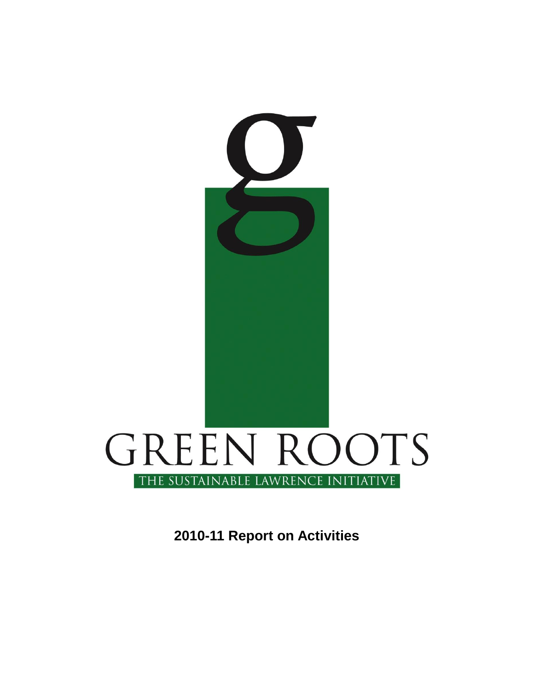

**2010-11 Report on Activities**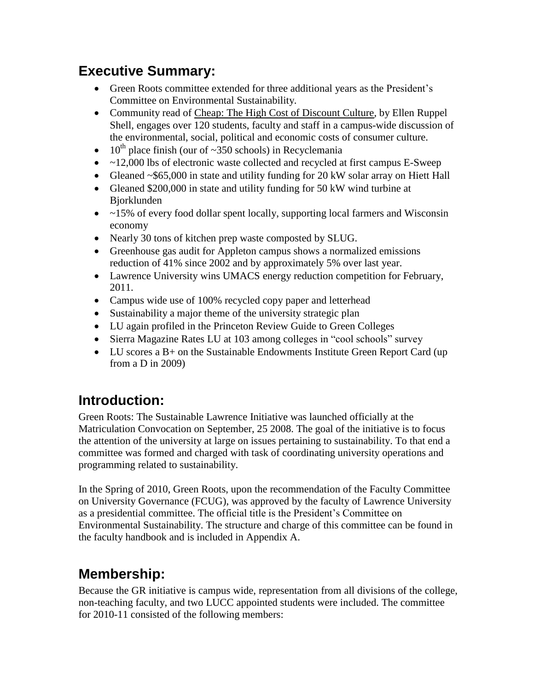# **Executive Summary:**

- Green Roots committee extended for three additional years as the President"s Committee on Environmental Sustainability.
- Community read of Cheap: The High Cost of Discount Culture, by Ellen Ruppel Shell, engages over 120 students, faculty and staff in a campus-wide discussion of the environmental, social, political and economic costs of consumer culture.
- $10^{th}$  place finish (our of ~350 schools) in Recyclemania
- ~12,000 lbs of electronic waste collected and recycled at first campus E-Sweep
- Gleaned ~\$65,000 in state and utility funding for 20 kW solar array on Hiett Hall
- Gleaned \$200,000 in state and utility funding for 50 kW wind turbine at Bjorklunden
- $\bullet$  ~15% of every food dollar spent locally, supporting local farmers and Wisconsin economy
- Nearly 30 tons of kitchen prep waste composted by SLUG.
- Greenhouse gas audit for Appleton campus shows a normalized emissions reduction of 41% since 2002 and by approximately 5% over last year.
- Lawrence University wins UMACS energy reduction competition for February, 2011.
- Campus wide use of 100% recycled copy paper and letterhead
- Sustainability a major theme of the university strategic plan
- LU again profiled in the Princeton Review Guide to Green Colleges
- Sierra Magazine Rates LU at 103 among colleges in "cool schools" survey
- LU scores a B+ on the Sustainable Endowments Institute Green Report Card (up) from a D in 2009)

# **Introduction:**

Green Roots: The Sustainable Lawrence Initiative was launched officially at the Matriculation Convocation on September, 25 2008. The goal of the initiative is to focus the attention of the university at large on issues pertaining to sustainability. To that end a committee was formed and charged with task of coordinating university operations and programming related to sustainability.

In the Spring of 2010, Green Roots, upon the recommendation of the Faculty Committee on University Governance (FCUG), was approved by the faculty of Lawrence University as a presidential committee. The official title is the President"s Committee on Environmental Sustainability. The structure and charge of this committee can be found in the faculty handbook and is included in Appendix A.

# **Membership:**

Because the GR initiative is campus wide, representation from all divisions of the college, non-teaching faculty, and two LUCC appointed students were included. The committee for 2010-11 consisted of the following members: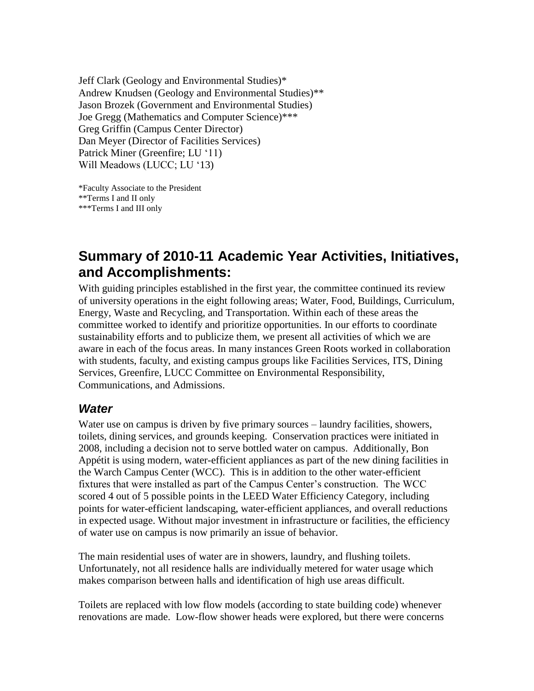Jeff Clark (Geology and Environmental Studies)\* Andrew Knudsen (Geology and Environmental Studies)\*\* Jason Brozek (Government and Environmental Studies) Joe Gregg (Mathematics and Computer Science)\*\*\* Greg Griffin (Campus Center Director) Dan Meyer (Director of Facilities Services) Patrick Miner (Greenfire; LU '11) Will Meadows (LUCC; LU '13)

\*Faculty Associate to the President \*\*Terms I and II only \*\*\*Terms I and III only

# **Summary of 2010-11 Academic Year Activities, Initiatives, and Accomplishments:**

With guiding principles established in the first year, the committee continued its review of university operations in the eight following areas; Water, Food, Buildings, Curriculum, Energy, Waste and Recycling, and Transportation. Within each of these areas the committee worked to identify and prioritize opportunities. In our efforts to coordinate sustainability efforts and to publicize them, we present all activities of which we are aware in each of the focus areas. In many instances Green Roots worked in collaboration with students, faculty, and existing campus groups like Facilities Services, ITS, Dining Services, Greenfire, LUCC Committee on Environmental Responsibility, Communications, and Admissions.

## *Water*

Water use on campus is driven by five primary sources – laundry facilities, showers, toilets, dining services, and grounds keeping. Conservation practices were initiated in 2008, including a decision not to serve bottled water on campus. Additionally, Bon Appétit is using modern, water-efficient appliances as part of the new dining facilities in the Warch Campus Center (WCC). This is in addition to the other water-efficient fixtures that were installed as part of the Campus Center's construction. The WCC scored 4 out of 5 possible points in the LEED Water Efficiency Category, including points for water-efficient landscaping, water-efficient appliances, and overall reductions in expected usage. Without major investment in infrastructure or facilities, the efficiency of water use on campus is now primarily an issue of behavior.

The main residential uses of water are in showers, laundry, and flushing toilets. Unfortunately, not all residence halls are individually metered for water usage which makes comparison between halls and identification of high use areas difficult.

Toilets are replaced with low flow models (according to state building code) whenever renovations are made. Low-flow shower heads were explored, but there were concerns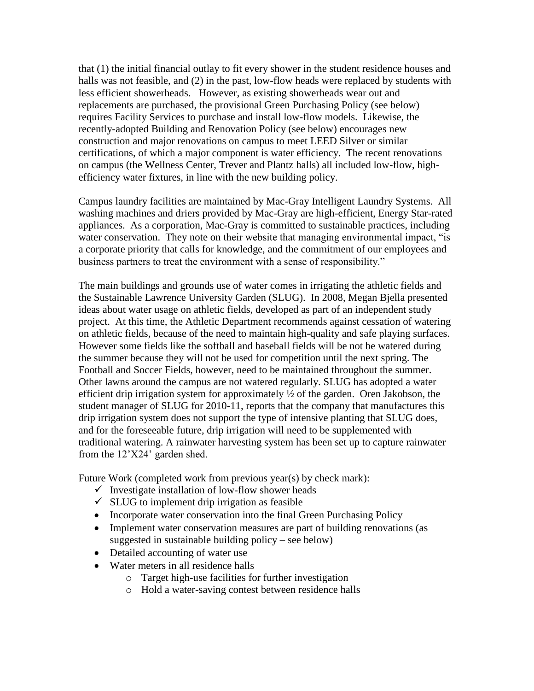that (1) the initial financial outlay to fit every shower in the student residence houses and halls was not feasible, and (2) in the past, low-flow heads were replaced by students with less efficient showerheads. However, as existing showerheads wear out and replacements are purchased, the provisional Green Purchasing Policy (see below) requires Facility Services to purchase and install low-flow models. Likewise, the recently-adopted Building and Renovation Policy (see below) encourages new construction and major renovations on campus to meet LEED Silver or similar certifications, of which a major component is water efficiency. The recent renovations on campus (the Wellness Center, Trever and Plantz halls) all included low-flow, highefficiency water fixtures, in line with the new building policy.

Campus laundry facilities are maintained by Mac-Gray Intelligent Laundry Systems. All washing machines and driers provided by Mac-Gray are high-efficient, Energy Star-rated appliances. As a corporation, Mac-Gray is committed to sustainable practices, including water conservation. They note on their website that managing environmental impact, "is a corporate priority that calls for knowledge, and the commitment of our employees and business partners to treat the environment with a sense of responsibility."

The main buildings and grounds use of water comes in irrigating the athletic fields and the Sustainable Lawrence University Garden (SLUG). In 2008, Megan Bjella presented ideas about water usage on athletic fields, developed as part of an independent study project. At this time, the Athletic Department recommends against cessation of watering on athletic fields, because of the need to maintain high-quality and safe playing surfaces. However some fields like the softball and baseball fields will be not be watered during the summer because they will not be used for competition until the next spring. The Football and Soccer Fields, however, need to be maintained throughout the summer. Other lawns around the campus are not watered regularly. SLUG has adopted a water efficient drip irrigation system for approximately  $\frac{1}{2}$  of the garden. Oren Jakobson, the student manager of SLUG for 2010-11, reports that the company that manufactures this drip irrigation system does not support the type of intensive planting that SLUG does, and for the foreseeable future, drip irrigation will need to be supplemented with traditional watering. A rainwater harvesting system has been set up to capture rainwater from the 12"X24" garden shed.

Future Work (completed work from previous year(s) by check mark):

- $\checkmark$  Investigate installation of low-flow shower heads
- $\checkmark$  SLUG to implement drip irrigation as feasible
- Incorporate water conservation into the final Green Purchasing Policy
- Implement water conservation measures are part of building renovations (as suggested in sustainable building policy – see below)
- Detailed accounting of water use
- Water meters in all residence halls
	- o Target high-use facilities for further investigation
	- o Hold a water-saving contest between residence halls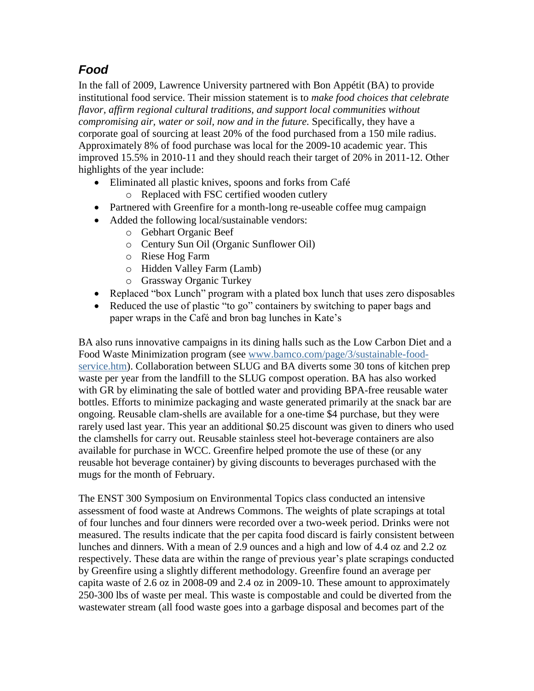# *Food*

In the fall of 2009, Lawrence University partnered with Bon Appétit (BA) to provide institutional food service. Their mission statement is to *make food choices that celebrate flavor, affirm regional cultural traditions, and support local communities without compromising air, water or soil, now and in the future.* Specifically, they have a corporate goal of sourcing at least 20% of the food purchased from a 150 mile radius. Approximately 8% of food purchase was local for the 2009-10 academic year. This improved 15.5% in 2010-11 and they should reach their target of 20% in 2011-12. Other highlights of the year include:

- Eliminated all plastic knives, spoons and forks from Café
	- o Replaced with FSC certified wooden cutlery
- Partnered with Greenfire for a month-long re-useable coffee mug campaign
- Added the following local/sustainable vendors:
	- o Gebhart Organic Beef
	- o Century Sun Oil (Organic Sunflower Oil)
	- o Riese Hog Farm
	- o Hidden Valley Farm (Lamb)
	- o Grassway Organic Turkey
- Replaced "box Lunch" program with a plated box lunch that uses zero disposables
- Reduced the use of plastic "to go" containers by switching to paper bags and paper wraps in the Café and bron bag lunches in Kate's

BA also runs innovative campaigns in its dining halls such as the Low Carbon Diet and a Food Waste Minimization program (see [www.bamco.com/page/3/sustainable-food](http://www.bamco.com/page/3/sustainable-food-service.htm)[service.htm\)](http://www.bamco.com/page/3/sustainable-food-service.htm). Collaboration between SLUG and BA diverts some 30 tons of kitchen prep waste per year from the landfill to the SLUG compost operation. BA has also worked with GR by eliminating the sale of bottled water and providing BPA-free reusable water bottles. Efforts to minimize packaging and waste generated primarily at the snack bar are ongoing. Reusable clam-shells are available for a one-time \$4 purchase, but they were rarely used last year. This year an additional \$0.25 discount was given to diners who used the clamshells for carry out. Reusable stainless steel hot-beverage containers are also available for purchase in WCC. Greenfire helped promote the use of these (or any reusable hot beverage container) by giving discounts to beverages purchased with the mugs for the month of February.

The ENST 300 Symposium on Environmental Topics class conducted an intensive assessment of food waste at Andrews Commons. The weights of plate scrapings at total of four lunches and four dinners were recorded over a two-week period. Drinks were not measured. The results indicate that the per capita food discard is fairly consistent between lunches and dinners. With a mean of 2.9 ounces and a high and low of 4.4 oz and 2.2 oz respectively. These data are within the range of previous year"s plate scrapings conducted by Greenfire using a slightly different methodology. Greenfire found an average per capita waste of 2.6 oz in 2008-09 and 2.4 oz in 2009-10. These amount to approximately 250-300 lbs of waste per meal. This waste is compostable and could be diverted from the wastewater stream (all food waste goes into a garbage disposal and becomes part of the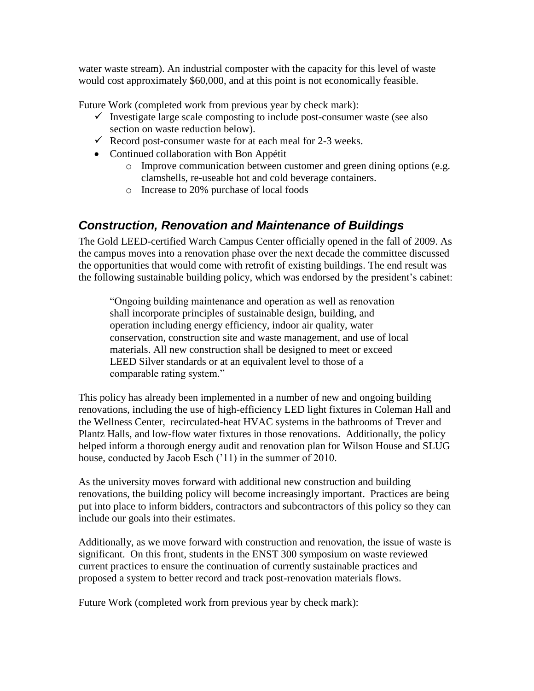water waste stream). An industrial composter with the capacity for this level of waste would cost approximately \$60,000, and at this point is not economically feasible.

Future Work (completed work from previous year by check mark):

- $\checkmark$  Investigate large scale composting to include post-consumer waste (see also section on waste reduction below).
- Record post-consumer waste for at each meal for  $2-3$  weeks.
- Continued collaboration with Bon Appétit
	- o Improve communication between customer and green dining options (e.g. clamshells, re-useable hot and cold beverage containers.
	- o Increase to 20% purchase of local foods

## *Construction, Renovation and Maintenance of Buildings*

The Gold LEED-certified Warch Campus Center officially opened in the fall of 2009. As the campus moves into a renovation phase over the next decade the committee discussed the opportunities that would come with retrofit of existing buildings. The end result was the following sustainable building policy, which was endorsed by the president's cabinet:

"Ongoing building maintenance and operation as well as renovation shall incorporate principles of sustainable design, building, and operation including energy efficiency, indoor air quality, water conservation, construction site and waste management, and use of local materials. All new construction shall be designed to meet or exceed LEED Silver standards or at an equivalent level to those of a comparable rating system."

This policy has already been implemented in a number of new and ongoing building renovations, including the use of high-efficiency LED light fixtures in Coleman Hall and the Wellness Center, recirculated-heat HVAC systems in the bathrooms of Trever and Plantz Halls, and low-flow water fixtures in those renovations. Additionally, the policy helped inform a thorough energy audit and renovation plan for Wilson House and SLUG house, conducted by Jacob Esch ('11) in the summer of 2010.

As the university moves forward with additional new construction and building renovations, the building policy will become increasingly important. Practices are being put into place to inform bidders, contractors and subcontractors of this policy so they can include our goals into their estimates.

Additionally, as we move forward with construction and renovation, the issue of waste is significant. On this front, students in the ENST 300 symposium on waste reviewed current practices to ensure the continuation of currently sustainable practices and proposed a system to better record and track post-renovation materials flows.

Future Work (completed work from previous year by check mark):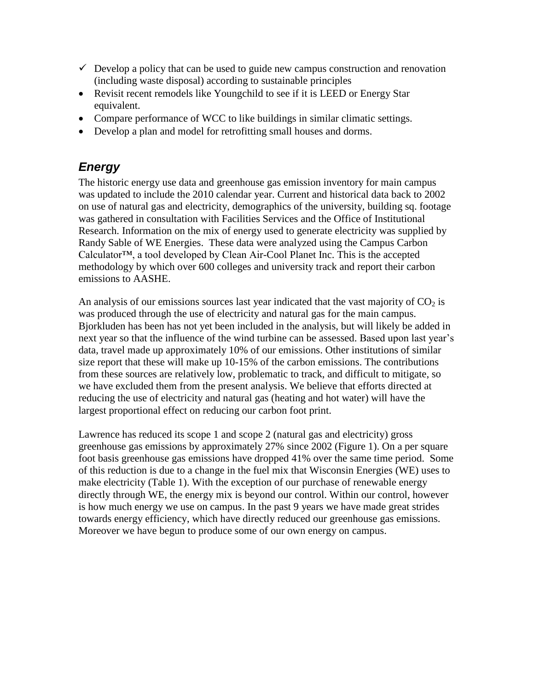- $\checkmark$  Develop a policy that can be used to guide new campus construction and renovation (including waste disposal) according to sustainable principles
- Revisit recent remodels like Youngchild to see if it is LEED or Energy Star equivalent.
- Compare performance of WCC to like buildings in similar climatic settings.
- Develop a plan and model for retrofitting small houses and dorms.

## *Energy*

The historic energy use data and greenhouse gas emission inventory for main campus was updated to include the 2010 calendar year. Current and historical data back to 2002 on use of natural gas and electricity, demographics of the university, building sq. footage was gathered in consultation with Facilities Services and the Office of Institutional Research. Information on the mix of energy used to generate electricity was supplied by Randy Sable of WE Energies. These data were analyzed using the Campus Carbon Calculator™, a tool developed by Clean Air-Cool Planet Inc. This is the accepted methodology by which over 600 colleges and university track and report their carbon emissions to AASHE.

An analysis of our emissions sources last year indicated that the vast majority of  $CO<sub>2</sub>$  is was produced through the use of electricity and natural gas for the main campus. Bjorkluden has been has not yet been included in the analysis, but will likely be added in next year so that the influence of the wind turbine can be assessed. Based upon last year's data, travel made up approximately 10% of our emissions. Other institutions of similar size report that these will make up 10-15% of the carbon emissions. The contributions from these sources are relatively low, problematic to track, and difficult to mitigate, so we have excluded them from the present analysis. We believe that efforts directed at reducing the use of electricity and natural gas (heating and hot water) will have the largest proportional effect on reducing our carbon foot print.

Lawrence has reduced its scope 1 and scope 2 (natural gas and electricity) gross greenhouse gas emissions by approximately 27% since 2002 (Figure 1). On a per square foot basis greenhouse gas emissions have dropped 41% over the same time period. Some of this reduction is due to a change in the fuel mix that Wisconsin Energies (WE) uses to make electricity (Table 1). With the exception of our purchase of renewable energy directly through WE, the energy mix is beyond our control. Within our control, however is how much energy we use on campus. In the past 9 years we have made great strides towards energy efficiency, which have directly reduced our greenhouse gas emissions. Moreover we have begun to produce some of our own energy on campus.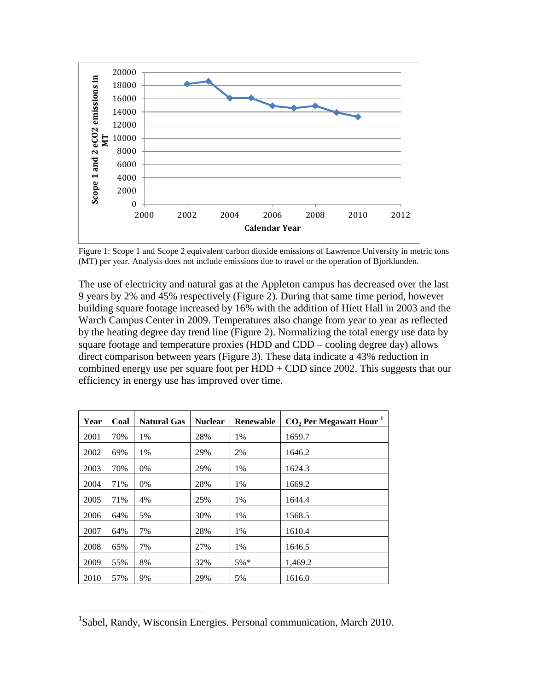

Figure 1: Scope 1 and Scope 2 equivalent carbon dioxide emissions of Lawrence University in metric tons (MT) per year. Analysis does not include emissions due to travel or the operation of Bjorklunden.

The use of electricity and natural gas at the Appleton campus has decreased over the last 9 years by 2% and 45% respectively (Figure 2). During that same time period, however building square footage increased by 16% with the addition of Hiett Hall in 2003 and the Warch Campus Center in 2009. Temperatures also change from year to year as reflected by the heating degree day trend line (Figure 2). Normalizing the total energy use data by square footage and temperature proxies (HDD and CDD – cooling degree day) allows direct comparison between years (Figure 3). These data indicate a 43% reduction in combined energy use per square foot per  $HDD + CDD$  since 2002. This suggests that our efficiency in energy use has improved over time.

| Year | Coal | <b>Natural Gas</b> | <b>Nuclear</b> | <b>Renewable</b> | $CO2$ Per Megawatt Hour <sup>1</sup> |
|------|------|--------------------|----------------|------------------|--------------------------------------|
| 2001 | 70%  | 1%                 | 28%            | 1%               | 1659.7                               |
| 2002 | 69%  | 1%                 | 29%            | 2%               | 1646.2                               |
| 2003 | 70%  | $0\%$              | 29%            | 1%               | 1624.3                               |
| 2004 | 71%  | $0\%$              | 28%            | 1%               | 1669.2                               |
| 2005 | 71%  | 4%                 | 25%            | 1%               | 1644.4                               |
| 2006 | 64%  | 5%                 | 30%            | 1%               | 1568.5                               |
| 2007 | 64%  | 7%                 | 28%            | 1%               | 1610.4                               |
| 2008 | 65%  | 7%                 | 27%            | 1%               | 1646.5                               |
| 2009 | 55%  | 8%                 | 32%            | $5\%*$           | 1,469.2                              |
| 2010 | 57%  | 9%                 | 29%            | 5%               | 1616.0                               |

<sup>&</sup>lt;sup>1</sup>Sabel, Randy, Wisconsin Energies. Personal communication, March 2010.

 $\overline{a}$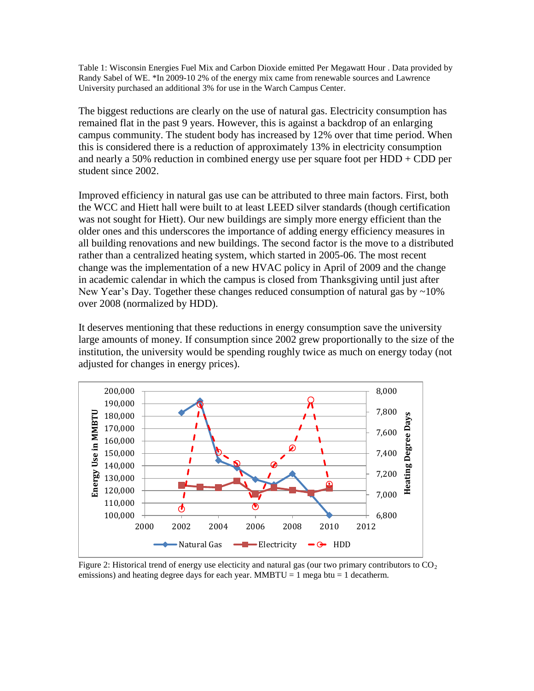Table 1: Wisconsin Energies Fuel Mix and Carbon Dioxide emitted Per Megawatt Hour . Data provided by Randy Sabel of WE. \*In 2009-10 2% of the energy mix came from renewable sources and Lawrence University purchased an additional 3% for use in the Warch Campus Center.

The biggest reductions are clearly on the use of natural gas. Electricity consumption has remained flat in the past 9 years. However, this is against a backdrop of an enlarging campus community. The student body has increased by 12% over that time period. When this is considered there is a reduction of approximately 13% in electricity consumption and nearly a 50% reduction in combined energy use per square foot per  $HDD + CDD$  per student since 2002.

Improved efficiency in natural gas use can be attributed to three main factors. First, both the WCC and Hiett hall were built to at least LEED silver standards (though certification was not sought for Hiett). Our new buildings are simply more energy efficient than the older ones and this underscores the importance of adding energy efficiency measures in all building renovations and new buildings. The second factor is the move to a distributed rather than a centralized heating system, which started in 2005-06. The most recent change was the implementation of a new HVAC policy in April of 2009 and the change in academic calendar in which the campus is closed from Thanksgiving until just after New Year's Day. Together these changes reduced consumption of natural gas by  $\sim 10\%$ over 2008 (normalized by HDD).

It deserves mentioning that these reductions in energy consumption save the university large amounts of money. If consumption since 2002 grew proportionally to the size of the institution, the university would be spending roughly twice as much on energy today (not adjusted for changes in energy prices).



Figure 2: Historical trend of energy use electicity and natural gas (our two primary contributors to  $CO<sub>2</sub>$ emissions) and heating degree days for each year. MMBTU = 1 mega btu = 1 decatherm.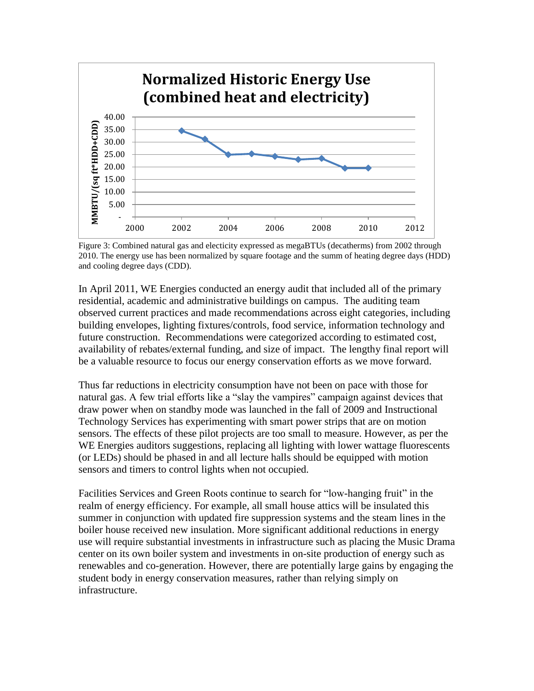

Figure 3: Combined natural gas and electicity expressed as megaBTUs (decatherms) from 2002 through 2010. The energy use has been normalized by square footage and the summ of heating degree days (HDD) and cooling degree days (CDD).

In April 2011, WE Energies conducted an energy audit that included all of the primary residential, academic and administrative buildings on campus. The auditing team observed current practices and made recommendations across eight categories, including building envelopes, lighting fixtures/controls, food service, information technology and future construction. Recommendations were categorized according to estimated cost, availability of rebates/external funding, and size of impact. The lengthy final report will be a valuable resource to focus our energy conservation efforts as we move forward.

Thus far reductions in electricity consumption have not been on pace with those for natural gas. A few trial efforts like a "slay the vampires" campaign against devices that draw power when on standby mode was launched in the fall of 2009 and Instructional Technology Services has experimenting with smart power strips that are on motion sensors. The effects of these pilot projects are too small to measure. However, as per the WE Energies auditors suggestions, replacing all lighting with lower wattage fluorescents (or LEDs) should be phased in and all lecture halls should be equipped with motion sensors and timers to control lights when not occupied.

Facilities Services and Green Roots continue to search for "low-hanging fruit" in the realm of energy efficiency. For example, all small house attics will be insulated this summer in conjunction with updated fire suppression systems and the steam lines in the boiler house received new insulation. More significant additional reductions in energy use will require substantial investments in infrastructure such as placing the Music Drama center on its own boiler system and investments in on-site production of energy such as renewables and co-generation. However, there are potentially large gains by engaging the student body in energy conservation measures, rather than relying simply on infrastructure.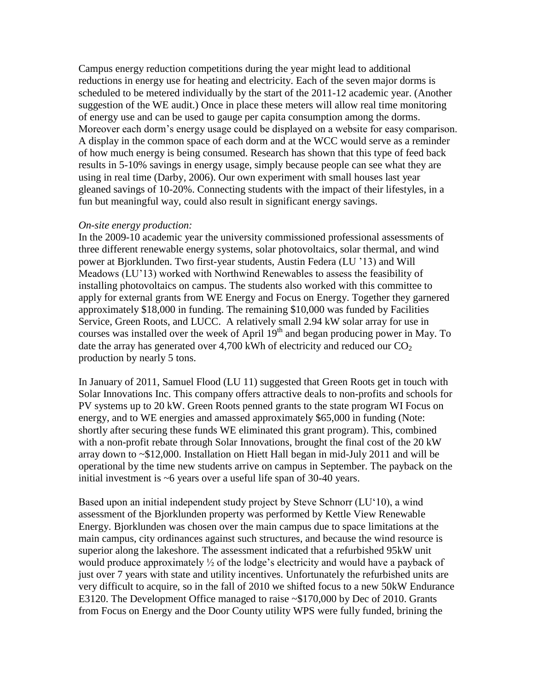Campus energy reduction competitions during the year might lead to additional reductions in energy use for heating and electricity. Each of the seven major dorms is scheduled to be metered individually by the start of the 2011-12 academic year. (Another suggestion of the WE audit.) Once in place these meters will allow real time monitoring of energy use and can be used to gauge per capita consumption among the dorms. Moreover each dorm"s energy usage could be displayed on a website for easy comparison. A display in the common space of each dorm and at the WCC would serve as a reminder of how much energy is being consumed. Research has shown that this type of feed back results in 5-10% savings in energy usage, simply because people can see what they are using in real time (Darby, 2006). Our own experiment with small houses last year gleaned savings of 10-20%. Connecting students with the impact of their lifestyles, in a fun but meaningful way, could also result in significant energy savings.

### *On-site energy production:*

In the 2009-10 academic year the university commissioned professional assessments of three different renewable energy systems, solar photovoltaics, solar thermal, and wind power at Bjorklunden. Two first-year students, Austin Federa (LU "13) and Will Meadows (LU"13) worked with Northwind Renewables to assess the feasibility of installing photovoltaics on campus. The students also worked with this committee to apply for external grants from WE Energy and Focus on Energy. Together they garnered approximately \$18,000 in funding. The remaining \$10,000 was funded by Facilities Service, Green Roots, and LUCC. A relatively small 2.94 kW solar array for use in courses was installed over the week of April  $19<sup>th</sup>$  and began producing power in May. To date the array has generated over 4,700 kWh of electricity and reduced our  $CO<sub>2</sub>$ production by nearly 5 tons.

In January of 2011, Samuel Flood (LU 11) suggested that Green Roots get in touch with Solar Innovations Inc. This company offers attractive deals to non-profits and schools for PV systems up to 20 kW. Green Roots penned grants to the state program WI Focus on energy, and to WE energies and amassed approximately \$65,000 in funding (Note: shortly after securing these funds WE eliminated this grant program). This, combined with a non-profit rebate through Solar Innovations, brought the final cost of the 20 kW array down to ~\$12,000. Installation on Hiett Hall began in mid-July 2011 and will be operational by the time new students arrive on campus in September. The payback on the initial investment is ~6 years over a useful life span of 30-40 years.

Based upon an initial independent study project by Steve Schnorr (LU"10), a wind assessment of the Bjorklunden property was performed by Kettle View Renewable Energy. Bjorklunden was chosen over the main campus due to space limitations at the main campus, city ordinances against such structures, and because the wind resource is superior along the lakeshore. The assessment indicated that a refurbished 95kW unit would produce approximately  $\frac{1}{2}$  of the lodge's electricity and would have a payback of just over 7 years with state and utility incentives. Unfortunately the refurbished units are very difficult to acquire, so in the fall of 2010 we shifted focus to a new 50kW Endurance E3120. The Development Office managed to raise ~\$170,000 by Dec of 2010. Grants from Focus on Energy and the Door County utility WPS were fully funded, brining the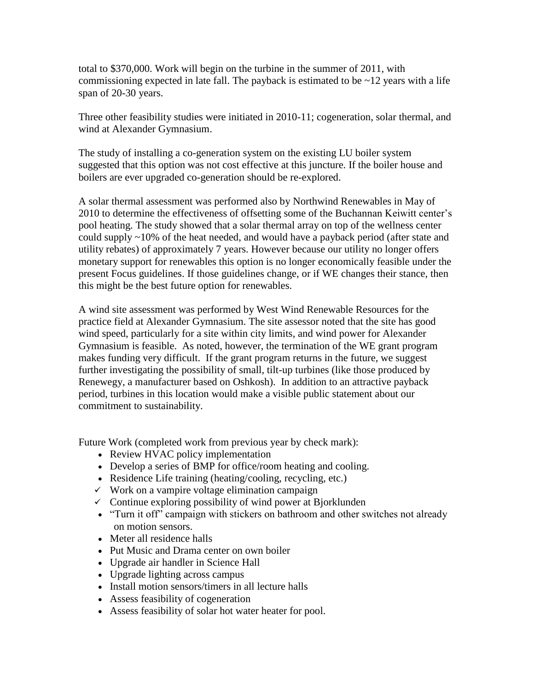total to \$370,000. Work will begin on the turbine in the summer of 2011, with commissioning expected in late fall. The payback is estimated to be  $\sim$ 12 years with a life span of 20-30 years.

Three other feasibility studies were initiated in 2010-11; cogeneration, solar thermal, and wind at Alexander Gymnasium.

The study of installing a co-generation system on the existing LU boiler system suggested that this option was not cost effective at this juncture. If the boiler house and boilers are ever upgraded co-generation should be re-explored.

A solar thermal assessment was performed also by Northwind Renewables in May of 2010 to determine the effectiveness of offsetting some of the Buchannan Keiwitt center's pool heating. The study showed that a solar thermal array on top of the wellness center could supply ~10% of the heat needed, and would have a payback period (after state and utility rebates) of approximately 7 years. However because our utility no longer offers monetary support for renewables this option is no longer economically feasible under the present Focus guidelines. If those guidelines change, or if WE changes their stance, then this might be the best future option for renewables.

A wind site assessment was performed by West Wind Renewable Resources for the practice field at Alexander Gymnasium. The site assessor noted that the site has good wind speed, particularly for a site within city limits, and wind power for Alexander Gymnasium is feasible. As noted, however, the termination of the WE grant program makes funding very difficult. If the grant program returns in the future, we suggest further investigating the possibility of small, tilt-up turbines (like those produced by Renewegy, a manufacturer based on Oshkosh). In addition to an attractive payback period, turbines in this location would make a visible public statement about our commitment to sustainability.

Future Work (completed work from previous year by check mark):

- Review HVAC policy implementation
- Develop a series of BMP for office/room heating and cooling.
- Residence Life training (heating/cooling, recycling, etc.)
- $\checkmark$  Work on a vampire voltage elimination campaign
- $\checkmark$  Continue exploring possibility of wind power at Bjorklunden
- "Turn it off" campaign with stickers on bathroom and other switches not already on motion sensors.
- Meter all residence halls
- Put Music and Drama center on own boiler
- Upgrade air handler in Science Hall
- Upgrade lighting across campus
- Install motion sensors/timers in all lecture halls
- Assess feasibility of cogeneration
- Assess feasibility of solar hot water heater for pool.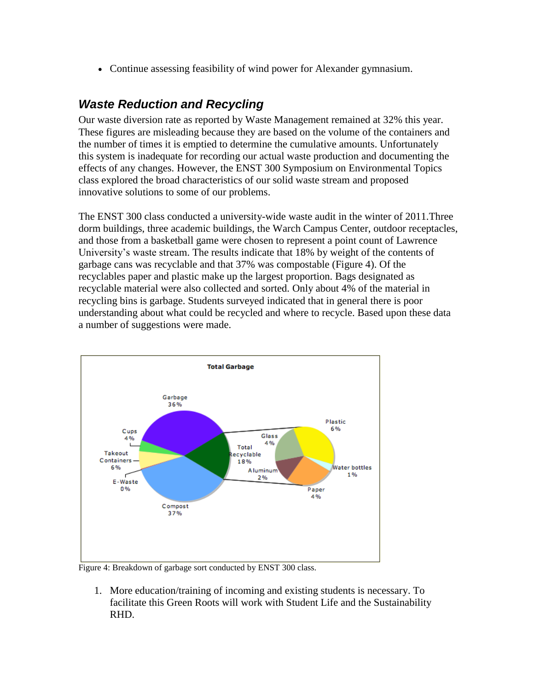Continue assessing feasibility of wind power for Alexander gymnasium.

# *Waste Reduction and Recycling*

Our waste diversion rate as reported by Waste Management remained at 32% this year. These figures are misleading because they are based on the volume of the containers and the number of times it is emptied to determine the cumulative amounts. Unfortunately this system is inadequate for recording our actual waste production and documenting the effects of any changes. However, the ENST 300 Symposium on Environmental Topics class explored the broad characteristics of our solid waste stream and proposed innovative solutions to some of our problems.

The ENST 300 class conducted a university-wide waste audit in the winter of 2011.Three dorm buildings, three academic buildings, the Warch Campus Center, outdoor receptacles, and those from a basketball game were chosen to represent a point count of Lawrence University"s waste stream. The results indicate that 18% by weight of the contents of garbage cans was recyclable and that 37% was compostable (Figure 4). Of the recyclables paper and plastic make up the largest proportion. Bags designated as recyclable material were also collected and sorted. Only about 4% of the material in recycling bins is garbage. Students surveyed indicated that in general there is poor understanding about what could be recycled and where to recycle. Based upon these data a number of suggestions were made.



Figure 4: Breakdown of garbage sort conducted by ENST 300 class.

1. More education/training of incoming and existing students is necessary. To facilitate this Green Roots will work with Student Life and the Sustainability RHD.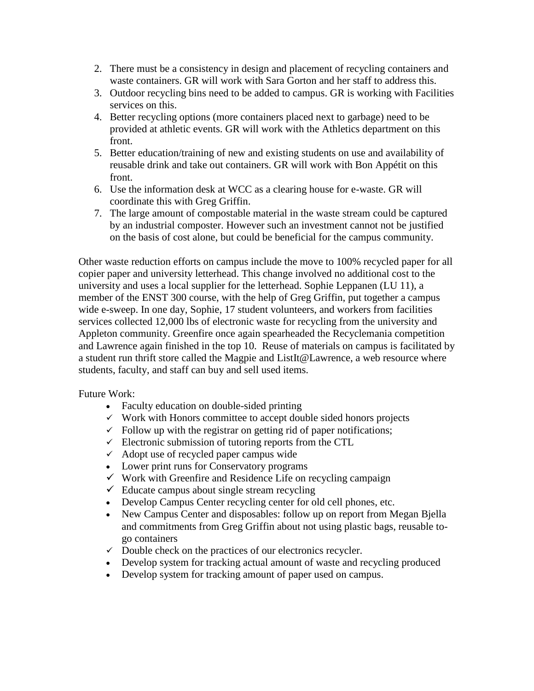- 2. There must be a consistency in design and placement of recycling containers and waste containers. GR will work with Sara Gorton and her staff to address this.
- 3. Outdoor recycling bins need to be added to campus. GR is working with Facilities services on this.
- 4. Better recycling options (more containers placed next to garbage) need to be provided at athletic events. GR will work with the Athletics department on this front.
- 5. Better education/training of new and existing students on use and availability of reusable drink and take out containers. GR will work with Bon Appétit on this front.
- 6. Use the information desk at WCC as a clearing house for e-waste. GR will coordinate this with Greg Griffin.
- 7. The large amount of compostable material in the waste stream could be captured by an industrial composter. However such an investment cannot not be justified on the basis of cost alone, but could be beneficial for the campus community.

Other waste reduction efforts on campus include the move to 100% recycled paper for all copier paper and university letterhead. This change involved no additional cost to the university and uses a local supplier for the letterhead. Sophie Leppanen (LU 11), a member of the ENST 300 course, with the help of Greg Griffin, put together a campus wide e-sweep. In one day, Sophie, 17 student volunteers, and workers from facilities services collected 12,000 lbs of electronic waste for recycling from the university and Appleton community. Greenfire once again spearheaded the Recyclemania competition and Lawrence again finished in the top 10. Reuse of materials on campus is facilitated by a student run thrift store called the Magpie and ListIt@Lawrence, a web resource where students, faculty, and staff can buy and sell used items.

## Future Work:

- Faculty education on double-sided printing
- $\checkmark$  Work with Honors committee to accept double sided honors projects
- $\checkmark$  Follow up with the registrar on getting rid of paper notifications;
- $\checkmark$  Electronic submission of tutoring reports from the CTL
- $\checkmark$  Adopt use of recycled paper campus wide
- Lower print runs for Conservatory programs
- $\checkmark$  Work with Greenfire and Residence Life on recycling campaign
- $\checkmark$  Educate campus about single stream recycling
- Develop Campus Center recycling center for old cell phones, etc.
- New Campus Center and disposables: follow up on report from Megan Biella and commitments from Greg Griffin about not using plastic bags, reusable togo containers
- $\checkmark$  Double check on the practices of our electronics recycler.
- Develop system for tracking actual amount of waste and recycling produced
- Develop system for tracking amount of paper used on campus.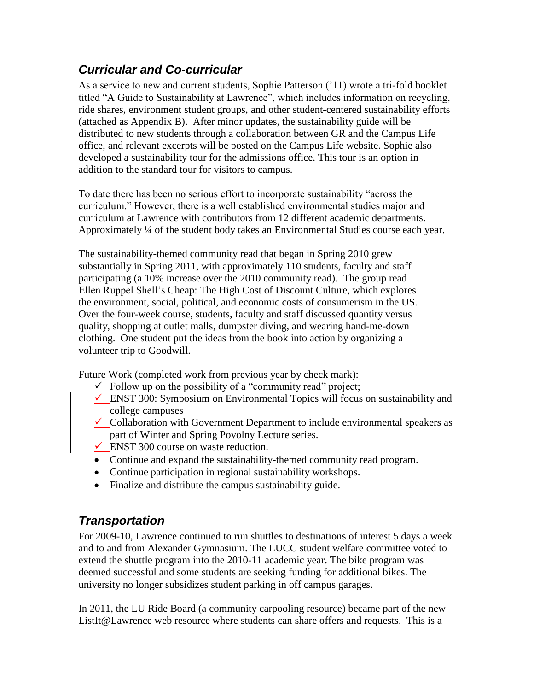# *Curricular and Co-curricular*

As a service to new and current students, Sophie Patterson ("11) wrote a tri-fold booklet titled "A Guide to Sustainability at Lawrence", which includes information on recycling, ride shares, environment student groups, and other student-centered sustainability efforts (attached as Appendix B). After minor updates, the sustainability guide will be distributed to new students through a collaboration between GR and the Campus Life office, and relevant excerpts will be posted on the Campus Life website. Sophie also developed a sustainability tour for the admissions office. This tour is an option in addition to the standard tour for visitors to campus.

To date there has been no serious effort to incorporate sustainability "across the curriculum." However, there is a well established environmental studies major and curriculum at Lawrence with contributors from 12 different academic departments. Approximately ¼ of the student body takes an Environmental Studies course each year.

The sustainability-themed community read that began in Spring 2010 grew substantially in Spring 2011, with approximately 110 students, faculty and staff participating (a 10% increase over the 2010 community read). The group read Ellen Ruppel Shell"s Cheap: The High Cost of Discount Culture, which explores the environment, social, political, and economic costs of consumerism in the US. Over the four-week course, students, faculty and staff discussed quantity versus quality, shopping at outlet malls, dumpster diving, and wearing hand-me-down clothing. One student put the ideas from the book into action by organizing a volunteer trip to Goodwill.

Future Work (completed work from previous year by check mark):

- $\checkmark$  Follow up on the possibility of a "community read" project;
- $\checkmark$  ENST 300: Symposium on Environmental Topics will focus on sustainability and college campuses
- $\checkmark$  Collaboration with Government Department to include environmental speakers as part of Winter and Spring Povolny Lecture series.
- ENST 300 course on waste reduction.
- Continue and expand the sustainability-themed community read program.
- Continue participation in regional sustainability workshops.
- Finalize and distribute the campus sustainability guide.

# *Transportation*

For 2009-10, Lawrence continued to run shuttles to destinations of interest 5 days a week and to and from Alexander Gymnasium. The LUCC student welfare committee voted to extend the shuttle program into the 2010-11 academic year. The bike program was deemed successful and some students are seeking funding for additional bikes. The university no longer subsidizes student parking in off campus garages.

In 2011, the LU Ride Board (a community carpooling resource) became part of the new ListIt@Lawrence web resource where students can share offers and requests. This is a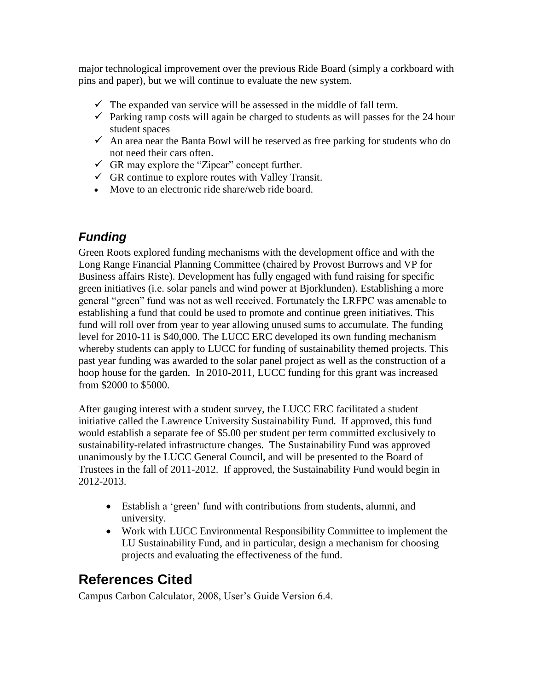major technological improvement over the previous Ride Board (simply a corkboard with pins and paper), but we will continue to evaluate the new system.

- $\checkmark$  The expanded van service will be assessed in the middle of fall term.
- $\checkmark$  Parking ramp costs will again be charged to students as will passes for the 24 hour student spaces
- $\checkmark$  An area near the Banta Bowl will be reserved as free parking for students who do not need their cars often.
- $\checkmark$  GR may explore the "Zipcar" concept further.
- $\checkmark$  GR continue to explore routes with Valley Transit.
- Move to an electronic ride share/web ride board.

# *Funding*

Green Roots explored funding mechanisms with the development office and with the Long Range Financial Planning Committee (chaired by Provost Burrows and VP for Business affairs Riste). Development has fully engaged with fund raising for specific green initiatives (i.e. solar panels and wind power at Bjorklunden). Establishing a more general "green" fund was not as well received. Fortunately the LRFPC was amenable to establishing a fund that could be used to promote and continue green initiatives. This fund will roll over from year to year allowing unused sums to accumulate. The funding level for 2010-11 is \$40,000. The LUCC ERC developed its own funding mechanism whereby students can apply to LUCC for funding of sustainability themed projects. This past year funding was awarded to the solar panel project as well as the construction of a hoop house for the garden. In 2010-2011, LUCC funding for this grant was increased from \$2000 to \$5000.

After gauging interest with a student survey, the LUCC ERC facilitated a student initiative called the Lawrence University Sustainability Fund. If approved, this fund would establish a separate fee of \$5.00 per student per term committed exclusively to sustainability-related infrastructure changes. The Sustainability Fund was approved unanimously by the LUCC General Council, and will be presented to the Board of Trustees in the fall of 2011-2012. If approved, the Sustainability Fund would begin in 2012-2013.

- Establish a "green" fund with contributions from students, alumni, and university.
- Work with LUCC Environmental Responsibility Committee to implement the LU Sustainability Fund, and in particular, design a mechanism for choosing projects and evaluating the effectiveness of the fund.

# **References Cited**

Campus Carbon Calculator, 2008, User"s Guide Version 6.4.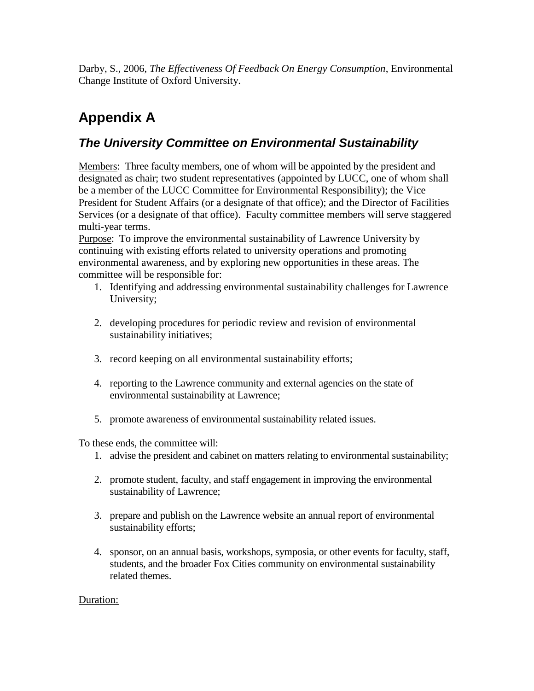Darby, S., 2006, *The Effectiveness Of Feedback On Energy Consumption*, Environmental Change Institute of Oxford University.

# **Appendix A**

# *The University Committee on Environmental Sustainability*

Members: Three faculty members, one of whom will be appointed by the president and designated as chair; two student representatives (appointed by LUCC, one of whom shall be a member of the LUCC Committee for Environmental Responsibility); the Vice President for Student Affairs (or a designate of that office); and the Director of Facilities Services (or a designate of that office). Faculty committee members will serve staggered multi-year terms.

Purpose: To improve the environmental sustainability of Lawrence University by continuing with existing efforts related to university operations and promoting environmental awareness, and by exploring new opportunities in these areas. The committee will be responsible for:

- 1. Identifying and addressing environmental sustainability challenges for Lawrence University;
- 2. developing procedures for periodic review and revision of environmental sustainability initiatives;
- 3. record keeping on all environmental sustainability efforts;
- 4. reporting to the Lawrence community and external agencies on the state of environmental sustainability at Lawrence;
- 5. promote awareness of environmental sustainability related issues.

To these ends, the committee will:

- 1. advise the president and cabinet on matters relating to environmental sustainability;
- 2. promote student, faculty, and staff engagement in improving the environmental sustainability of Lawrence;
- 3. prepare and publish on the Lawrence website an annual report of environmental sustainability efforts;
- 4. sponsor, on an annual basis, workshops, symposia, or other events for faculty, staff, students, and the broader Fox Cities community on environmental sustainability related themes.

## Duration: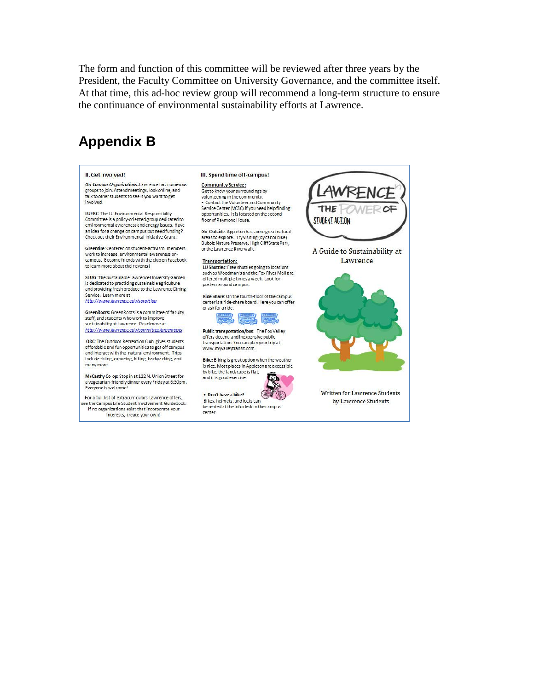The form and function of this committee will be reviewed after three years by the President, the Faculty Committee on University Governance, and the committee itself. At that time, this ad-hoc review group will recommend a long-term structure to ensure the continuance of environmental sustainability efforts at Lawrence.

# **Appendix B**

### **Il Get Involved!**

On-Campus Organizations: Lawrence has numerous<br>groups to join. Attend meetings, look online, and talk to other students to see if you want to get involved

LUERC: The LU Environmental Responsibility Committee is a policy-oriented group dedicated to environmental awareness and energy issues. Have an idea for a change on campus but need funding? Check out their Environmental Initiative Grant!

Greenfire: Centered on student-activism, members work to increase environmental awareness oncampus. Become friends with the club on Facebook to learn more about their events!

SLUG: The Sustainable Lawrence University Garden is dedicated to practicing sustainable agriculture<br>and providing fresh produce to the Lawrence Dining Service. Learn more at http://www.lawrence.edu/sorg/slug

GreenRoots: GreenRoots is a committee of faculty. staff, and students who work to improve sustainability at Lawrence. Read more at http://www.lawrence.edu/committee/greenroots

ORC: The Outdoor Recreation Club gives students affordable and fun opportunities to get off campus<br>and interact with the natural environment. Trips include skiing, canoeing, hiking, backpacking, and many more.

McCarthy Co-op: Stop in at 122 N. Union Street for a vegetarian-friendly dinner every Friday at 6:30pm.<br>Everyone is welcome!

For a full list of extracurriculars Lawrence offers ee the Campus Life Student Involvement Guidebook. If no organizations exist that incorporate your

interests, create your own!

### III. Spend time off-campus!

**Community Service:** Get to know your surroundings by<br>volunteering in the community. . Contact the Volunteer and Community Service Center (VCSC) if you need help finding opportunities. It is located on the second floor of Raymond House.

Go Outside: Appleton has some great natural areas to explore. Try visiting (by car or bike)<br>Bubolz Nature Preserve, High Cliff State Park, or the Lawrence Riverwalk.

### **Transportation:**

LU Shuttles: Free shuttles going to locations such as Woodman's and the Fox River Mall are offered multiple times a week. Look for posters around campus.

Ride Share: On the fourth-floor of the campus center is a ride-share board. Here you can offer or ask for a ride.



Public transportation/bus: The Fox Valley offers decent and inexpensive public transportation. You can plan your trip at www.myvalleytransit.com.

Bike: Biking is great option when the weather is nice. Most places in Appleton are accessible<br>by bike, the landscape is flat, and it is good exercise.

. Don't have a bike? Bikes, helmets, and locks can be rented at the info desk in the campus center.